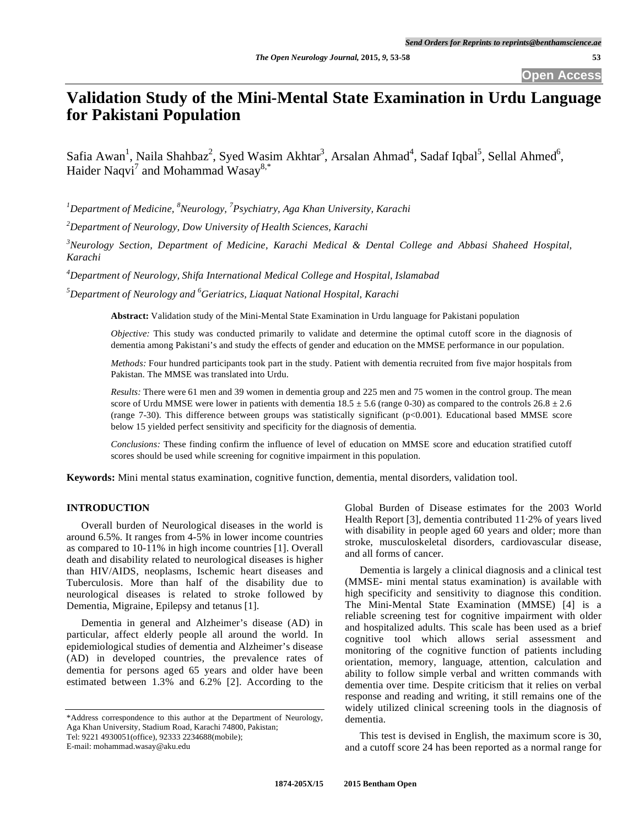# **Validation Study of the Mini-Mental State Examination in Urdu Language for Pakistani Population**

Safia Awan<sup>1</sup>, Naila Shahbaz<sup>2</sup>, Syed Wasim Akhtar<sup>3</sup>, Arsalan Ahmad<sup>4</sup>, Sadaf Iqbal<sup>5</sup>, Sellal Ahmed<sup>6</sup>, Haider Naqvi<sup>7</sup> and Mohammad Wasay<sup>8,\*</sup>

<sup>1</sup>Department of Medicine, <sup>8</sup>Neurology, <sup>7</sup>Psychiatry, Aga Khan University, Karachi

*2 Department of Neurology, Dow University of Health Sciences, Karachi* 

*3 Neurology Section, Department of Medicine, Karachi Medical & Dental College and Abbasi Shaheed Hospital, Karachi* 

*4 Department of Neurology, Shifa International Medical College and Hospital, Islamabad* 

*5 Department of Neurology and 6 Geriatrics, Liaquat National Hospital, Karachi* 

**Abstract:** Validation study of the Mini-Mental State Examination in Urdu language for Pakistani population

*Objective:* This study was conducted primarily to validate and determine the optimal cutoff score in the diagnosis of dementia among Pakistani's and study the effects of gender and education on the MMSE performance in our population.

*Methods:* Four hundred participants took part in the study. Patient with dementia recruited from five major hospitals from Pakistan. The MMSE was translated into Urdu.

*Results:* There were 61 men and 39 women in dementia group and 225 men and 75 women in the control group. The mean score of Urdu MMSE were lower in patients with dementia  $18.5 \pm 5.6$  (range 0-30) as compared to the controls  $26.8 \pm 2.6$ (range 7-30). This difference between groups was statistically significant (p<0.001). Educational based MMSE score below 15 yielded perfect sensitivity and specificity for the diagnosis of dementia.

*Conclusions:* These finding confirm the influence of level of education on MMSE score and education stratified cutoff scores should be used while screening for cognitive impairment in this population.

**Keywords:** Mini mental status examination, cognitive function, dementia, mental disorders, validation tool.

## **INTRODUCTION**

 Overall burden of Neurological diseases in the world is around 6.5%. It ranges from 4-5% in lower income countries as compared to 10-11% in high income countries [1]. Overall death and disability related to neurological diseases is higher than HIV/AIDS, neoplasms, Ischemic heart diseases and Tuberculosis. More than half of the disability due to neurological diseases is related to stroke followed by Dementia, Migraine, Epilepsy and tetanus [1].

 Dementia in general and Alzheimer's disease (AD) in particular, affect elderly people all around the world. In epidemiological studies of dementia and Alzheimer's disease (AD) in developed countries, the prevalence rates of dementia for persons aged 65 years and older have been estimated between 1.3% and 6.2% [2]. According to the

\*Address correspondence to this author at the Department of Neurology, Aga Khan University, Stadium Road, Karachi 74800, Pakistan;

Tel: 9221 4930051(office), 92333 2234688(mobile);

E-mail: mohammad.wasay@aku.edu

Global Burden of Disease estimates for the 2003 World Health Report [3], dementia contributed 11·2% of years lived with disability in people aged 60 years and older; more than stroke, musculoskeletal disorders, cardiovascular disease, and all forms of cancer.

 Dementia is largely a clinical diagnosis and a clinical test (MMSE- mini mental status examination) is available with high specificity and sensitivity to diagnose this condition. The Mini-Mental State Examination (MMSE) [4] is a reliable screening test for cognitive impairment with older and hospitalized adults. This scale has been used as a brief cognitive tool which allows serial assessment and monitoring of the cognitive function of patients including orientation, memory, language, attention, calculation and ability to follow simple verbal and written commands with dementia over time. Despite criticism that it relies on verbal response and reading and writing, it still remains one of the widely utilized clinical screening tools in the diagnosis of dementia.

 This test is devised in English, the maximum score is 30, and a cutoff score 24 has been reported as a normal range for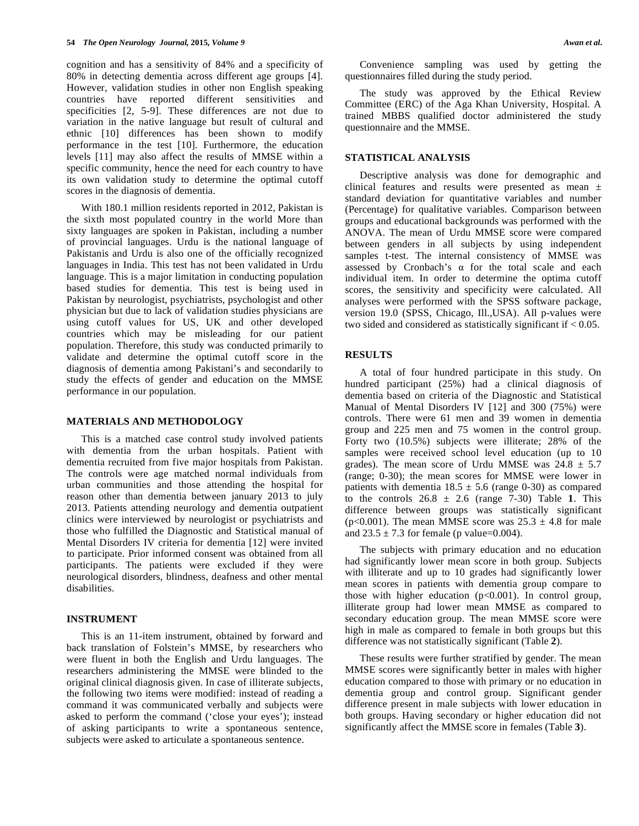cognition and has a sensitivity of 84% and a specificity of 80% in detecting dementia across different age groups [4]. However, validation studies in other non English speaking countries have reported different sensitivities and specificities [2, 5-9]. These differences are not due to variation in the native language but result of cultural and ethnic [10] differences has been shown to modify performance in the test [10]. Furthermore, the education levels [11] may also affect the results of MMSE within a specific community, hence the need for each country to have its own validation study to determine the optimal cutoff scores in the diagnosis of dementia.

 With 180.1 million residents reported in 2012, Pakistan is the sixth most populated country in the world More than sixty languages are spoken in Pakistan, including a number of provincial languages. Urdu is the national language of Pakistanis and Urdu is also one of the officially recognized languages in India. This test has not been validated in Urdu language. This is a major limitation in conducting population based studies for dementia. This test is being used in Pakistan by neurologist, psychiatrists, psychologist and other physician but due to lack of validation studies physicians are using cutoff values for US, UK and other developed countries which may be misleading for our patient population. Therefore, this study was conducted primarily to validate and determine the optimal cutoff score in the diagnosis of dementia among Pakistani's and secondarily to study the effects of gender and education on the MMSE performance in our population.

#### **MATERIALS AND METHODOLOGY**

 This is a matched case control study involved patients with dementia from the urban hospitals. Patient with dementia recruited from five major hospitals from Pakistan. The controls were age matched normal individuals from urban communities and those attending the hospital for reason other than dementia between january 2013 to july 2013. Patients attending neurology and dementia outpatient clinics were interviewed by neurologist or psychiatrists and those who fulfilled the Diagnostic and Statistical manual of Mental Disorders IV criteria for dementia [12] were invited to participate. Prior informed consent was obtained from all participants. The patients were excluded if they were neurological disorders, blindness, deafness and other mental disabilities.

#### **INSTRUMENT**

 This is an 11-item instrument, obtained by forward and back translation of Folstein's MMSE, by researchers who were fluent in both the English and Urdu languages. The researchers administering the MMSE were blinded to the original clinical diagnosis given. In case of illiterate subjects, the following two items were modified: instead of reading a command it was communicated verbally and subjects were asked to perform the command ('close your eyes'); instead of asking participants to write a spontaneous sentence, subjects were asked to articulate a spontaneous sentence.

 Convenience sampling was used by getting the questionnaires filled during the study period.

 The study was approved by the Ethical Review Committee (ERC) of the Aga Khan University, Hospital. A trained MBBS qualified doctor administered the study questionnaire and the MMSE.

### **STATISTICAL ANALYSIS**

 Descriptive analysis was done for demographic and clinical features and results were presented as mean ± standard deviation for quantitative variables and number (Percentage) for qualitative variables. Comparison between groups and educational backgrounds was performed with the ANOVA. The mean of Urdu MMSE score were compared between genders in all subjects by using independent samples t-test. The internal consistency of MMSE was assessed by Cronbach's  $\alpha$  for the total scale and each individual item. In order to determine the optima cutoff scores, the sensitivity and specificity were calculated. All analyses were performed with the SPSS software package, version 19.0 (SPSS, Chicago, Ill.,USA). All p-values were two sided and considered as statistically significant if < 0.05.

#### **RESULTS**

 A total of four hundred participate in this study. On hundred participant (25%) had a clinical diagnosis of dementia based on criteria of the Diagnostic and Statistical Manual of Mental Disorders IV [12] and 300 (75%) were controls. There were 61 men and 39 women in dementia group and 225 men and 75 women in the control group. Forty two (10.5%) subjects were illiterate; 28% of the samples were received school level education (up to 10 grades). The mean score of Urdu MMSE was  $24.8 \pm 5.7$ (range; 0-30); the mean scores for MMSE were lower in patients with dementia  $18.5 \pm 5.6$  (range 0-30) as compared to the controls  $26.8 \pm 2.6$  (range 7-30) Table 1. This difference between groups was statistically significant (p<0.001). The mean MMSE score was  $25.3 \pm 4.8$  for male and  $23.5 \pm 7.3$  for female (p value=0.004).

 The subjects with primary education and no education had significantly lower mean score in both group. Subjects with illiterate and up to 10 grades had significantly lower mean scores in patients with dementia group compare to those with higher education (p<0.001). In control group, illiterate group had lower mean MMSE as compared to secondary education group. The mean MMSE score were high in male as compared to female in both groups but this difference was not statistically significant (Table **2**).

 These results were further stratified by gender. The mean MMSE scores were significantly better in males with higher education compared to those with primary or no education in dementia group and control group. Significant gender difference present in male subjects with lower education in both groups. Having secondary or higher education did not significantly affect the MMSE score in females (Table **3**).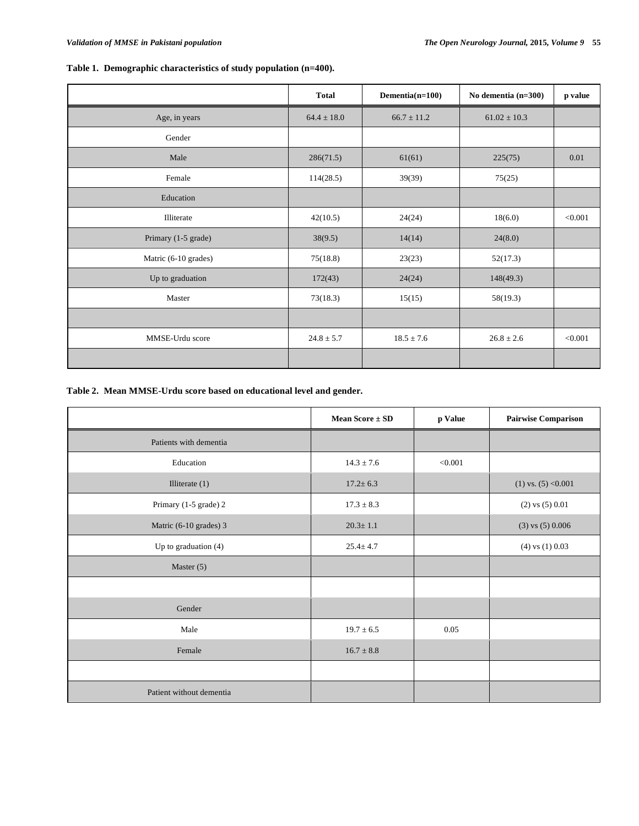## **Table 1. Demographic characteristics of study population (n=400).**

|                      | <b>Total</b>    | Dementia $(n=100)$ | No dementia (n=300) | p value |
|----------------------|-----------------|--------------------|---------------------|---------|
| Age, in years        | $64.4 \pm 18.0$ | $66.7 \pm 11.2$    | $61.02 \pm 10.3$    |         |
| Gender               |                 |                    |                     |         |
| Male                 | 286(71.5)       | 61(61)             | 225(75)             | 0.01    |
| Female               | 114(28.5)       | 39(39)             | 75(25)              |         |
| Education            |                 |                    |                     |         |
| Illiterate           | 42(10.5)        | 24(24)             | 18(6.0)             | < 0.001 |
| Primary (1-5 grade)  | 38(9.5)         | 14(14)             | 24(8.0)             |         |
| Matric (6-10 grades) | 75(18.8)        | 23(23)             | 52(17.3)            |         |
| Up to graduation     | 172(43)         | 24(24)             | 148(49.3)           |         |
| Master               | 73(18.3)        | 15(15)             | 58(19.3)            |         |
|                      |                 |                    |                     |         |
| MMSE-Urdu score      | $24.8 \pm 5.7$  | $18.5 \pm 7.6$     | $26.8 \pm 2.6$      | < 0.001 |
|                      |                 |                    |                     |         |

### **Table 2. Mean MMSE-Urdu score based on educational level and gender.**

|                          | Mean Score $\pm$ SD | p Value | <b>Pairwise Comparison</b> |
|--------------------------|---------------------|---------|----------------------------|
| Patients with dementia   |                     |         |                            |
| Education                | $14.3 \pm 7.6$      | < 0.001 |                            |
| Illiterate $(1)$         | $17.2 \pm 6.3$      |         | $(1)$ vs. $(5)$ <0.001     |
| Primary (1-5 grade) 2    | $17.3 \pm 8.3$      |         | $(2)$ vs $(5)$ 0.01        |
| Matric (6-10 grades) 3   | $20.3 \pm 1.1$      |         | $(3)$ vs $(5)$ 0.006       |
| Up to graduation (4)     | $25.4 \pm 4.7$      |         | $(4)$ vs $(1)$ 0.03        |
| Master $(5)$             |                     |         |                            |
|                          |                     |         |                            |
| Gender                   |                     |         |                            |
| Male                     | $19.7 \pm 6.5$      | 0.05    |                            |
| Female                   | $16.7 \pm 8.8$      |         |                            |
|                          |                     |         |                            |
| Patient without dementia |                     |         |                            |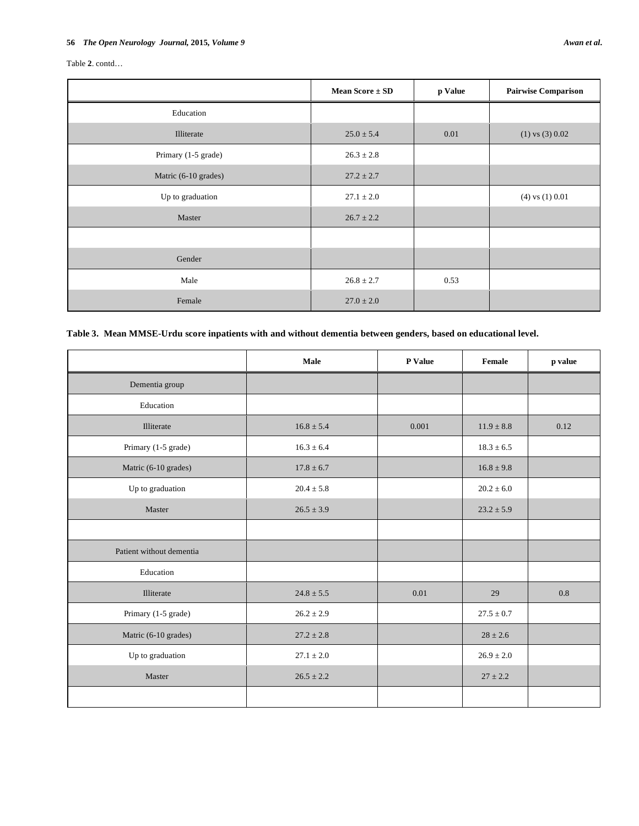### **56** *The Open Neurology Journal, 2015, Volume 9 Awan et al. Awan et al.*

Table **2**. contd…

|                      | Mean Score $\pm$ SD | p Value | <b>Pairwise Comparison</b> |
|----------------------|---------------------|---------|----------------------------|
| Education            |                     |         |                            |
| Illiterate           | $25.0 \pm 5.4$      | 0.01    | $(1)$ vs $(3)$ 0.02        |
| Primary (1-5 grade)  | $26.3 \pm 2.8$      |         |                            |
| Matric (6-10 grades) | $27.2 \pm 2.7$      |         |                            |
| Up to graduation     | $27.1 \pm 2.0$      |         | $(4)$ vs $(1)$ 0.01        |
| Master               | $26.7 \pm 2.2$      |         |                            |
|                      |                     |         |                            |
| Gender               |                     |         |                            |
| Male                 | $26.8 \pm 2.7$      | 0.53    |                            |
| Female               | $27.0 \pm 2.0$      |         |                            |

### **Table 3. Mean MMSE-Urdu score inpatients with and without dementia between genders, based on educational level.**

|                          | Male           | P Value | Female         | p value |
|--------------------------|----------------|---------|----------------|---------|
| Dementia group           |                |         |                |         |
| Education                |                |         |                |         |
| Illiterate               | $16.8 \pm 5.4$ | 0.001   | $11.9 \pm 8.8$ | 0.12    |
| Primary (1-5 grade)      | $16.3 \pm 6.4$ |         | $18.3 \pm 6.5$ |         |
| Matric (6-10 grades)     | $17.8 \pm 6.7$ |         | $16.8 \pm 9.8$ |         |
| Up to graduation         | $20.4 \pm 5.8$ |         | $20.2\pm6.0$   |         |
| Master                   | $26.5 \pm 3.9$ |         | $23.2 \pm 5.9$ |         |
|                          |                |         |                |         |
| Patient without dementia |                |         |                |         |
| Education                |                |         |                |         |
| Illiterate               | $24.8 \pm 5.5$ | 0.01    | 29             | 0.8     |
| Primary (1-5 grade)      | $26.2 \pm 2.9$ |         | $27.5 \pm 0.7$ |         |
| Matric (6-10 grades)     | $27.2 \pm 2.8$ |         | $28 \pm 2.6$   |         |
| Up to graduation         | $27.1 \pm 2.0$ |         | $26.9 \pm 2.0$ |         |
| Master                   | $26.5 \pm 2.2$ |         | $27 \pm 2.2$   |         |
|                          |                |         |                |         |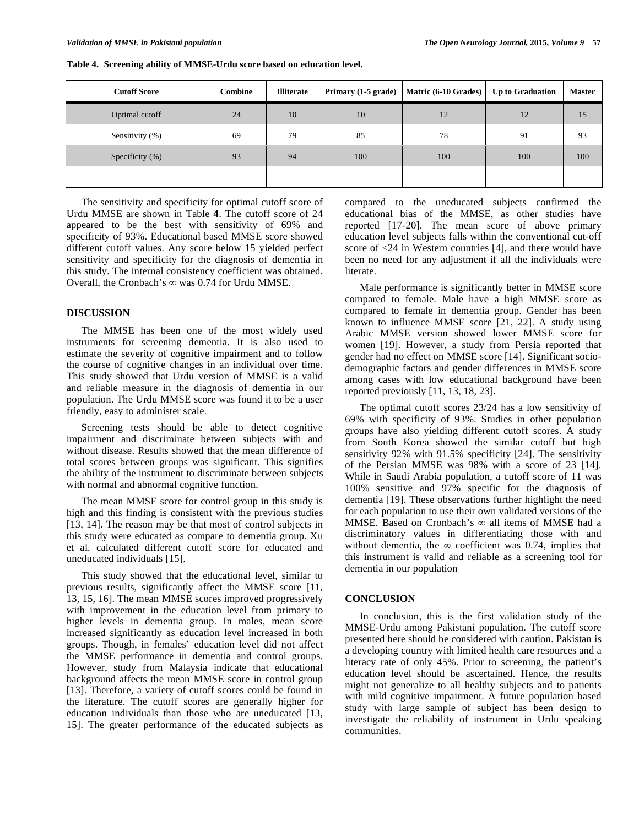| <b>Cutoff Score</b> | Combine | <b>Illiterate</b> | Primary (1-5 grade) | Matric (6-10 Grades) | <b>Up to Graduation</b> | <b>Master</b> |
|---------------------|---------|-------------------|---------------------|----------------------|-------------------------|---------------|
| Optimal cutoff      | 24      | 10                | 10                  | 12                   | 12                      | 15            |
| Sensitivity (%)     | 69      | 79                | 85                  | 78                   | 91                      | 93            |
| Specificity $(\%)$  | 93      | 94                | 100                 | 100                  | 100                     | 100           |
|                     |         |                   |                     |                      |                         |               |

**Table 4. Screening ability of MMSE-Urdu score based on education level.** 

 The sensitivity and specificity for optimal cutoff score of Urdu MMSE are shown in Table **4**. The cutoff score of 24 appeared to be the best with sensitivity of 69% and specificity of 93%. Educational based MMSE score showed different cutoff values. Any score below 15 yielded perfect sensitivity and specificity for the diagnosis of dementia in this study. The internal consistency coefficient was obtained. Overall, the Cronbach's  $\infty$  was 0.74 for Urdu MMSE.

### **DISCUSSION**

 The MMSE has been one of the most widely used instruments for screening dementia. It is also used to estimate the severity of cognitive impairment and to follow the course of cognitive changes in an individual over time. This study showed that Urdu version of MMSE is a valid and reliable measure in the diagnosis of dementia in our population. The Urdu MMSE score was found it to be a user friendly, easy to administer scale.

 Screening tests should be able to detect cognitive impairment and discriminate between subjects with and without disease. Results showed that the mean difference of total scores between groups was significant. This signifies the ability of the instrument to discriminate between subjects with normal and abnormal cognitive function.

 The mean MMSE score for control group in this study is high and this finding is consistent with the previous studies [13, 14]. The reason may be that most of control subjects in this study were educated as compare to dementia group. Xu et al. calculated different cutoff score for educated and uneducated individuals [15].

 This study showed that the educational level, similar to previous results, significantly affect the MMSE score [11, 13, 15, 16]. The mean MMSE scores improved progressively with improvement in the education level from primary to higher levels in dementia group. In males, mean score increased significantly as education level increased in both groups. Though, in females' education level did not affect the MMSE performance in dementia and control groups. However, study from Malaysia indicate that educational background affects the mean MMSE score in control group [13]. Therefore, a variety of cutoff scores could be found in the literature. The cutoff scores are generally higher for education individuals than those who are uneducated [13, 15]. The greater performance of the educated subjects as compared to the uneducated subjects confirmed the educational bias of the MMSE, as other studies have reported [17-20]. The mean score of above primary education level subjects falls within the conventional cut-off score of <24 in Western countries [4], and there would have been no need for any adjustment if all the individuals were literate.

 Male performance is significantly better in MMSE score compared to female. Male have a high MMSE score as compared to female in dementia group. Gender has been known to influence MMSE score [21, 22]. A study using Arabic MMSE version showed lower MMSE score for women [19]. However, a study from Persia reported that gender had no effect on MMSE score [14]. Significant sociodemographic factors and gender differences in MMSE score among cases with low educational background have been reported previously [11, 13, 18, 23].

 The optimal cutoff scores 23/24 has a low sensitivity of 69% with specificity of 93%. Studies in other population groups have also yielding different cutoff scores. A study from South Korea showed the similar cutoff but high sensitivity 92% with 91.5% specificity [24]. The sensitivity of the Persian MMSE was 98% with a score of 23 [14]. While in Saudi Arabia population, a cutoff score of 11 was 100% sensitive and 97% specific for the diagnosis of dementia [19]. These observations further highlight the need for each population to use their own validated versions of the MMSE. Based on Cronbach's  $\infty$  all items of MMSE had a discriminatory values in differentiating those with and without dementia, the  $\infty$  coefficient was 0.74, implies that this instrument is valid and reliable as a screening tool for dementia in our population

#### **CONCLUSION**

 In conclusion, this is the first validation study of the MMSE-Urdu among Pakistani population. The cutoff score presented here should be considered with caution. Pakistan is a developing country with limited health care resources and a literacy rate of only 45%. Prior to screening, the patient's education level should be ascertained. Hence, the results might not generalize to all healthy subjects and to patients with mild cognitive impairment. A future population based study with large sample of subject has been design to investigate the reliability of instrument in Urdu speaking communities.